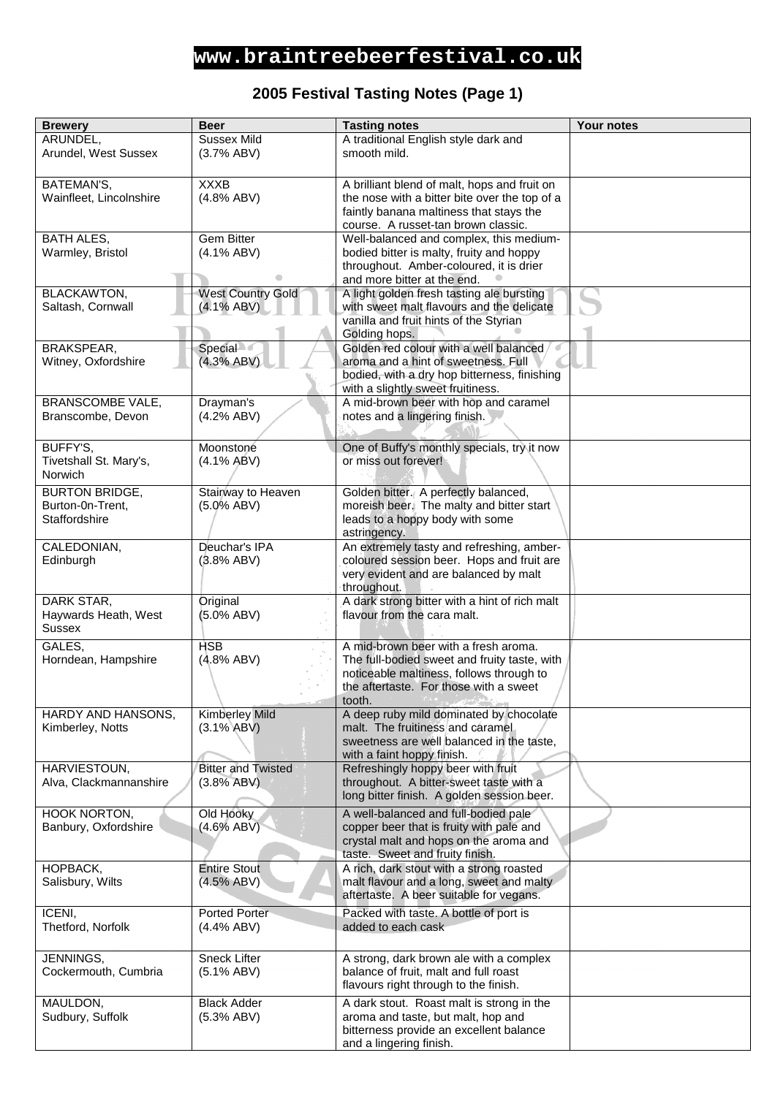## **www.braintreebeerfestival.co.uk**

### **2005 Festival Tasting Notes (Page 1)**

| <b>Brewery</b>          | <b>Beer</b>               | <b>Tasting notes</b>                                               | <b>Your notes</b> |
|-------------------------|---------------------------|--------------------------------------------------------------------|-------------------|
| ARUNDEL,                | <b>Sussex Mild</b>        | A traditional English style dark and                               |                   |
| Arundel, West Sussex    | (3.7% ABV)                | smooth mild.                                                       |                   |
|                         |                           |                                                                    |                   |
| BATEMAN'S,              | <b>XXXB</b>               | A brilliant blend of malt, hops and fruit on                       |                   |
| Wainfleet, Lincolnshire | (4.8% ABV)                | the nose with a bitter bite over the top of a                      |                   |
|                         |                           | faintly banana maltiness that stays the                            |                   |
|                         |                           | course. A russet-tan brown classic.                                |                   |
|                         | Gem Bitter                |                                                                    |                   |
| <b>BATH ALES,</b>       |                           | Well-balanced and complex, this medium-                            |                   |
| Warmley, Bristol        | $(4.1\%$ ABV)             | bodied bitter is malty, fruity and hoppy                           |                   |
|                         |                           | throughout. Amber-coloured, it is drier                            |                   |
|                         |                           | and more bitter at the end.                                        |                   |
| <b>BLACKAWTON,</b>      | <b>West Country Gold</b>  | A light golden fresh tasting ale bursting                          |                   |
| Saltash, Cornwall       | $(4.1\% ABV)$             | with sweet malt flavours and the delicate                          |                   |
|                         |                           | vanilla and fruit hints of the Styrian                             |                   |
|                         |                           | Golding hops.                                                      |                   |
| BRAKSPEAR,              | <b>Special</b>            | Golden red colour with a well balanced                             |                   |
| Witney, Oxfordshire     | (4.3% ABV)                | aroma and a hint of sweetness. Full                                |                   |
|                         |                           | bodied, with a dry hop bitterness, finishing                       |                   |
|                         |                           | with a slightly sweet fruitiness.                                  |                   |
| <b>BRANSCOMBE VALE,</b> | Drayman's                 | A mid-brown beer with hop and caramel                              |                   |
| Branscombe, Devon       | (4.2% ABV)                | notes and a lingering finish.                                      |                   |
|                         |                           |                                                                    |                   |
| BUFFY'S,                | Moonstone                 | One of Buffy's monthly specials, try it now                        |                   |
| Tivetshall St. Mary's,  | (4.1% ABV)                | or miss out forever!                                               |                   |
| Norwich                 |                           |                                                                    |                   |
| <b>BURTON BRIDGE,</b>   | Stairway to Heaven        | Golden bitter. A perfectly balanced,                               |                   |
| Burton-0n-Trent,        | $(5.0\%$ ABV)             | moreish beer. The malty and bitter start                           |                   |
| Staffordshire           |                           | leads to a hoppy body with some                                    |                   |
|                         |                           | astringency.                                                       |                   |
| CALEDONIAN,             | Deuchar's IPA             | An extremely tasty and refreshing, amber-                          |                   |
| Edinburgh               | (3.8% ABV)                | coloured session beer. Hops and fruit are                          |                   |
|                         |                           | very evident and are balanced by malt                              |                   |
|                         |                           | throughout.                                                        |                   |
| DARK STAR,              | Original                  | A dark strong bitter with a hint of rich malt                      |                   |
| Haywards Heath, West    | (5.0% ABV)                | flavour from the cara malt.                                        |                   |
| <b>Sussex</b>           |                           |                                                                    |                   |
| GALES,                  | <b>HSB</b>                | A mid-brown beer with a fresh aroma.                               |                   |
| Horndean, Hampshire     | (4.8% ABV)                | The full-bodied sweet and fruity taste, with                       |                   |
|                         |                           | noticeable maltiness, follows through to                           |                   |
|                         |                           | the aftertaste. For those with a sweet                             |                   |
|                         |                           | tooth.                                                             |                   |
| HARDY AND HANSONS,      | <b>Kimberley Mild</b>     | A deep ruby mild dominated by chocolate                            |                   |
| Kimberley, Notts        | $(3.1\% ABV)$             | malt. The fruitiness and caramel                                   |                   |
|                         |                           | sweetness are well balanced in the taste,                          |                   |
|                         |                           | with a faint hoppy finish.                                         |                   |
| HARVIESTOUN,            | <b>Bitter and Twisted</b> | Refreshingly hoppy beer with fruit                                 |                   |
| Alva, Clackmannanshire  | (3.8% ABV)                | throughout. A bitter-sweet taste with a                            |                   |
|                         |                           | long bitter finish. A golden session beer.                         |                   |
| HOOK NORTON,            | Old Hooky                 | A well-balanced and full-bodied pale                               |                   |
| Banbury, Oxfordshire    | (4.6% ABV)                | copper beer that is fruity with pale and                           |                   |
|                         |                           | crystal malt and hops on the aroma and                             |                   |
|                         |                           | taste. Sweet and fruity finish.                                    |                   |
| HOPBACK,                | <b>Entire Stout</b>       | A rich, dark stout with a strong roasted                           |                   |
| Salisbury, Wilts        | (4.5% ABV)                | malt flavour and a long, sweet and malty                           |                   |
|                         |                           | aftertaste. A beer suitable for vegans.                            |                   |
| ICENI,                  | Ported Porter             | Packed with taste. A bottle of port is                             |                   |
| Thetford, Norfolk       | (4.4% ABV)                | added to each cask                                                 |                   |
|                         |                           |                                                                    |                   |
| JENNINGS,               | <b>Sneck Lifter</b>       | A strong, dark brown ale with a complex                            |                   |
| Cockermouth, Cumbria    | $(5.1\% ABV)$             | balance of fruit, malt and full roast                              |                   |
|                         |                           | flavours right through to the finish.                              |                   |
|                         |                           |                                                                    |                   |
| MAULDON,                | <b>Black Adder</b>        | A dark stout. Roast malt is strong in the                          |                   |
| Sudbury, Suffolk        | (5.3% ABV)                | aroma and taste, but malt, hop and                                 |                   |
|                         |                           | bitterness provide an excellent balance<br>and a lingering finish. |                   |
|                         |                           |                                                                    |                   |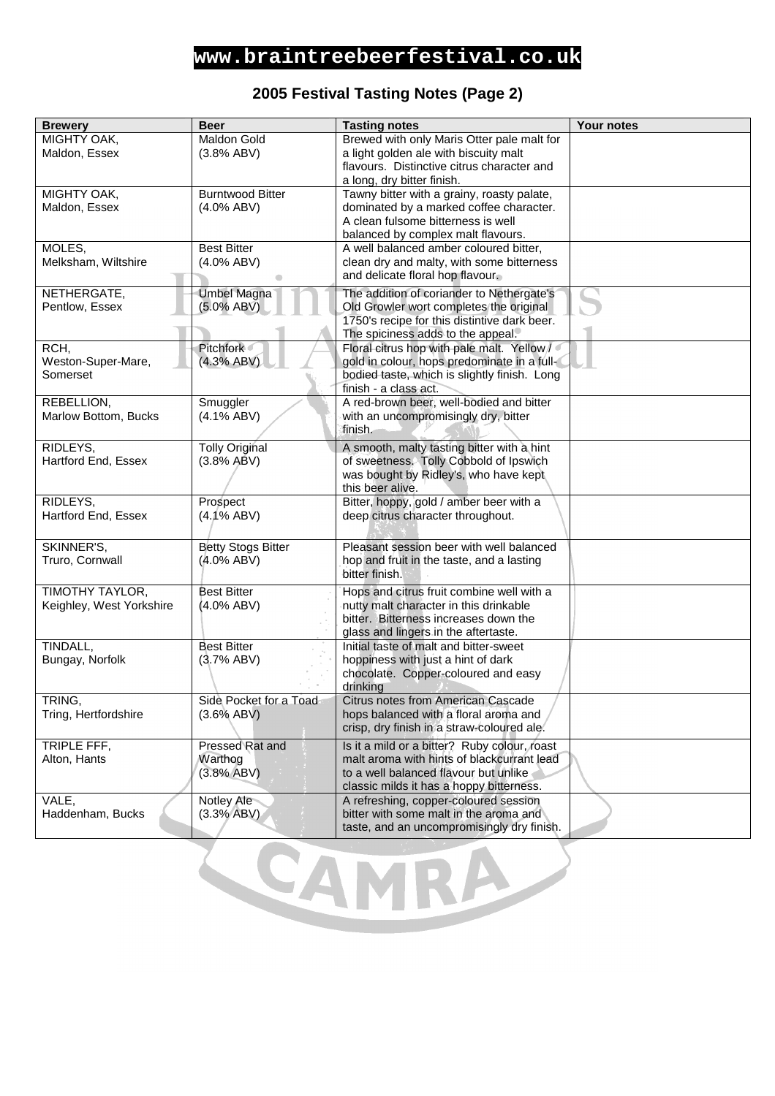### **www.braintreebeerfestival.co.uk**

#### **2005 Festival Tasting Notes (Page 2)**

| <b>Brewery</b>           | <b>Beer</b>               | <b>Tasting notes</b>                                                          | Your notes |
|--------------------------|---------------------------|-------------------------------------------------------------------------------|------------|
| MIGHTY OAK,              | Maldon Gold               | Brewed with only Maris Otter pale malt for                                    |            |
| Maldon, Essex            | (3.8% ABV)                | a light golden ale with biscuity malt                                         |            |
|                          |                           | flavours. Distinctive citrus character and                                    |            |
|                          |                           | a long, dry bitter finish.                                                    |            |
| MIGHTY OAK,              | <b>Burntwood Bitter</b>   | Tawny bitter with a grainy, roasty palate,                                    |            |
| Maldon, Essex            | $(4.0\%$ ABV)             | dominated by a marked coffee character.<br>A clean fulsome bitterness is well |            |
|                          |                           | balanced by complex malt flavours.                                            |            |
| MOLES,                   | <b>Best Bitter</b>        | A well balanced amber coloured bitter,                                        |            |
| Melksham, Wiltshire      | $(4.0\%$ ABV)             | clean dry and malty, with some bitterness                                     |            |
|                          |                           | and delicate floral hop flavour.                                              |            |
| NETHERGATE,              | <b>Umbel Magna</b>        | The addition of coriander to Nethergate's                                     |            |
| Pentlow, Essex           | $(5.0\% ABV)$             | Old Growler wort completes the original                                       |            |
|                          |                           | 1750's recipe for this distintive dark beer.                                  |            |
|                          |                           | The spiciness adds to the appeal.                                             |            |
| RCH,                     | Pitchfork                 | Floral citrus hop with pale malt. Yellow /                                    |            |
| Weston-Super-Mare,       | (4.3% ABV)                | gold in colour, hops predominate in a full-                                   |            |
| Somerset                 |                           | bodied taste, which is slightly finish. Long                                  |            |
|                          |                           | finish - a class act.                                                         |            |
| REBELLION,               | Smuggler                  | A red-brown beer, well-bodied and bitter                                      |            |
| Marlow Bottom, Bucks     | $(4.1\% ABV)$             | with an uncompromisingly dry, bitter                                          |            |
|                          |                           | finish.                                                                       |            |
| RIDLEYS,                 | <b>Tolly Original</b>     | A smooth, malty tasting bitter with a hint                                    |            |
| Hartford End, Essex      | (3.8% ABV)                | of sweetness. Tolly Cobbold of Ipswich                                        |            |
|                          |                           | was bought by Ridley's, who have kept<br>this beer alive.                     |            |
| RIDLEYS,                 | Prospect                  | Bitter, hoppy, gold / amber beer with a                                       |            |
| Hartford End, Essex      | $(4.1\%$ ABV)             | deep citrus character throughout.                                             |            |
|                          |                           |                                                                               |            |
| SKINNER'S,               | <b>Betty Stogs Bitter</b> | Pleasant session beer with well balanced                                      |            |
| Truro, Cornwall          | (4.0% ABV)                | hop and fruit in the taste, and a lasting                                     |            |
|                          |                           | bitter finish.                                                                |            |
| TIMOTHY TAYLOR,          | <b>Best Bitter</b>        | Hops and citrus fruit combine well with a                                     |            |
| Keighley, West Yorkshire | (4.0% ABV)                | nutty malt character in this drinkable                                        |            |
|                          |                           | bitter. Bitterness increases down the                                         |            |
|                          |                           | glass and lingers in the aftertaste.                                          |            |
| TINDALL,                 | <b>Best Bitter</b>        | Initial taste of malt and bitter-sweet                                        |            |
| Bungay, Norfolk          | (3.7% ABV)                | hoppiness with just a hint of dark                                            |            |
|                          |                           | chocolate. Copper-coloured and easy<br>drinking                               |            |
| TRING,                   | Side Pocket for a Toad    | Citrus notes from American Cascade                                            |            |
| Tring, Hertfordshire     | $(3.6\%$ ABV)             | hops balanced with a floral aroma and                                         |            |
|                          |                           | crisp, dry finish in a straw-coloured ale.                                    |            |
| TRIPLE FFF,              | Pressed Rat and           | Is it a mild or a bitter? Ruby colour, roast                                  |            |
| Alton, Hants             | Warthog                   | malt aroma with hints of blackcurrant lead                                    |            |
|                          | (3.8% ABV)                | to a well balanced flavour but unlike                                         |            |
|                          |                           | classic milds it has a hoppy bitterness.                                      |            |
| VALE,                    | Notley Ale                | A refreshing, copper-coloured session                                         |            |
| Haddenham, Bucks         | (3.3% ABV)                | bitter with some malt in the aroma and                                        |            |
|                          |                           | taste, and an uncompromisingly dry finish.                                    |            |

t CAMRA